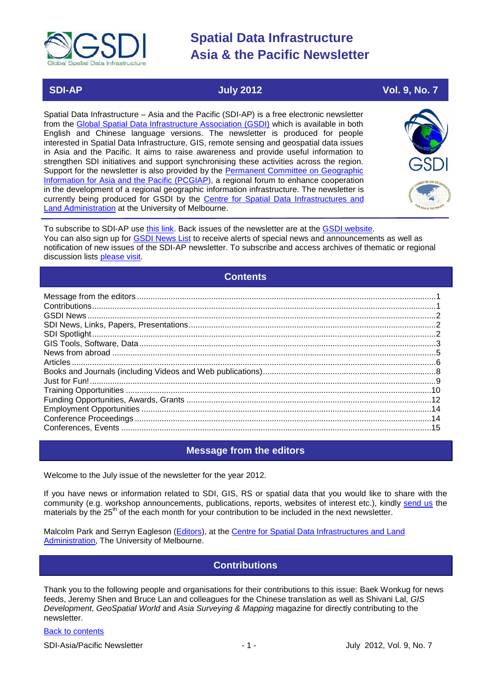

# **SDI-AP July 2012 Vol. 9, No. 7**

Spatial Data Infrastructure – Asia and the Pacific (SDI-AP) is a free electronic newsletter from the [Global Spatial Data Infrastructure Association \(GSDI\)](http://www.gsdi.org/) which is available in both English and Chinese language versions. The newsletter is produced for people interested in Spatial Data Infrastructure, GIS, remote sensing and geospatial data issues in Asia and the Pacific. It aims to raise awareness and provide useful information to strengthen SDI initiatives and support synchronising these activities across the region. Support for the newsletter is also provided by the Permanent Committee on Geographic [Information for Asia and the Pacific \(PCGIAP\)](http://www.pcgiap.org/), a regional forum to enhance cooperation in the development of a regional geographic information infrastructure. The newsletter is currently being produced for GSDI by the [Centre for Spatial Data Infrastructures and](http://www.csdila.unimelb.edu.au/)  [Land Administration](http://www.csdila.unimelb.edu.au/) at the University of Melbourne.



To subscribe to SDI-AP use [this link.](http://www.gsdi.org/newslist/gsdisubscribe.asp) Back issues of the newsletter are at the [GSDI website.](http://www.gsdi.org/newsletters.asp) You can also sign up for **GSDI News List** to receive alerts of special news and announcements as well as notification of new issues of the SDI-AP newsletter. To subscribe and access archives of thematic or regional discussion lists [please visit.](http://www.gsdi.org/discussionlists.asp)

# **Contents**

<span id="page-0-0"></span>

# **Message from the editors**

<span id="page-0-1"></span>Welcome to the July issue of the newsletter for the year 2012.

If you have news or information related to SDI, GIS, RS or spatial data that you would like to share with the community (e.g. workshop announcements, publications, reports, websites of interest etc.), kindly [send us](mailto:.SDI-AP@gsdi.org) the materials by the 25<sup>th</sup> of the each month for your contribution to be included in the next newsletter.

<span id="page-0-2"></span>Malcolm Park and Serryn Eagleson [\(Editors\)](mailto:Editor.SDIAP@gmail.com), at the [Centre for Spatial Data Infrastructures and Land](http://www.csdila.unimelb.edu.au/)  [Administration,](http://www.csdila.unimelb.edu.au/) The University of Melbourne.

# **Contributions**

Thank you to the following people and organisations for their contributions to this issue: Baek Wonkug for news feeds, Jeremy Shen and Bruce Lan and colleagues for the Chinese translation as well as Shivani Lal, *GIS Development*, *GeoSpatial World* and *Asia Surveying & Mapping* magazine for directly contributing to the newsletter.

# [Back to contents](#page-0-0)

SDI-Asia/Pacific Newsletter 1 - 1 - 1 - 1 - July 2012, Vol. 9, No. 7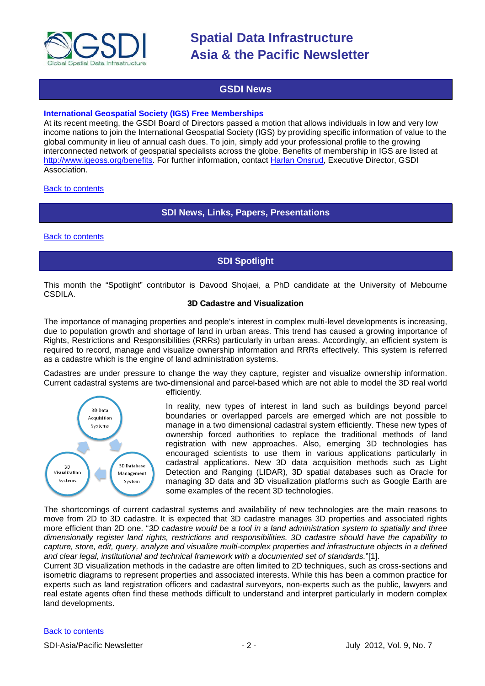

# **GSDI News**

### <span id="page-1-0"></span>**International Geospatial Society (IGS) Free Memberships**

At its recent meeting, the GSDI Board of Directors passed a motion that allows individuals in low and very low income nations to join the International Geospatial Society (IGS) by providing specific information of value to the global community in lieu of annual cash dues. To join, simply add your professional profile to the growing interconnected network of geospatial specialists across the globe. Benefits of membership in IGS are listed at [http://www.igeoss.org/benefits.](https://owa.unimelb.edu.au/owa/redir.aspx?C=54c2b4d3973d480282dc7c38384f4204&URL=http%3a%2f%2fwww.igeoss.org%2fbenefits) For further information, contact [Harlan Onsrud,](mailto:onsrud@gsdi.org) Executive Director, GSDI Association.

<span id="page-1-1"></span>[Back to contents](#page-0-0)

# **SDI News, Links, Papers, Presentations**

<span id="page-1-2"></span>[Back to contents](#page-0-0)

# **SDI Spotlight**

This month the "Spotlight" contributor is Davood Shojaei, a PhD candidate at the University of Mebourne CSDILA.

#### **3D Cadastre and Visualization**

The importance of managing properties and people's interest in complex multi-level developments is increasing, due to population growth and shortage of land in urban areas. This trend has caused a growing importance of Rights, Restrictions and Responsibilities (RRRs) particularly in urban areas. Accordingly, an efficient system is required to record, manage and visualize ownership information and RRRs effectively. This system is referred as a cadastre which is the engine of land administration systems.

Cadastres are under pressure to change the way they capture, register and visualize ownership information. Current cadastral systems are two-dimensional and parcel-based which are not able to model the 3D real world



efficiently.

In reality, new types of interest in land such as buildings beyond parcel boundaries or overlapped parcels are emerged which are not possible to manage in a two dimensional cadastral system efficiently. These new types of ownership forced authorities to replace the traditional methods of land registration with new approaches. Also, emerging 3D technologies has encouraged scientists to use them in various applications particularly in cadastral applications. New 3D data acquisition methods such as Light Detection and Ranging (LIDAR), 3D spatial databases such as Oracle for managing 3D data and 3D visualization platforms such as Google Earth are some examples of the recent 3D technologies.

The shortcomings of current cadastral systems and availability of new technologies are the main reasons to move from 2D to 3D cadastre. It is expected that 3D cadastre manages 3D properties and associated rights more efficient than 2D one. "*3D cadastre would be a tool in a land administration system to spatially and three dimensionally register land rights, restrictions and responsibilities. 3D cadastre should have the capability to capture, store, edit, query, analyze and visualize multi-complex properties and infrastructure objects in a defined and clear legal, institutional and technical framework with a documented set of standards.*"[1].

Current 3D visualization methods in the cadastre are often limited to 2D techniques, such as cross-sections and isometric diagrams to represent properties and associated interests. While this has been a common practice for experts such as land registration officers and cadastral surveyors, non-experts such as the public, lawyers and real estate agents often find these methods difficult to understand and interpret particularly in modern complex land developments.

#### [Back to contents](#page-0-0)

SDI-Asia/Pacific Newsletter  $\sim$  2 -  $\sim$  2 - July 2012, Vol. 9, No. 7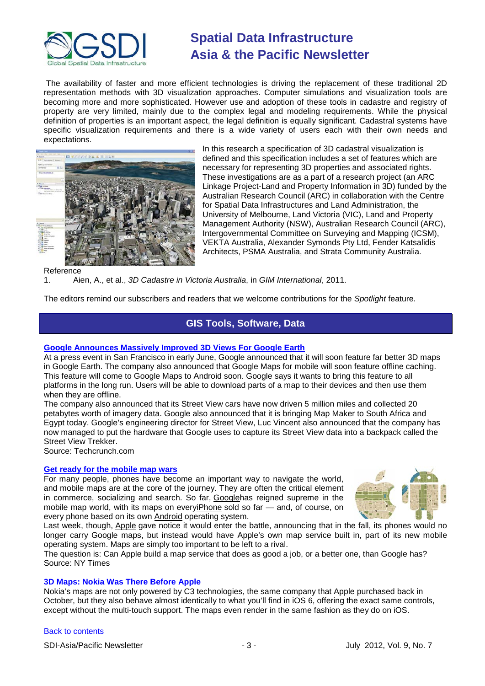

The availability of faster and more efficient technologies is driving the replacement of these traditional 2D representation methods with 3D visualization approaches. Computer simulations and visualization tools are becoming more and more sophisticated. However use and adoption of these tools in cadastre and registry of property are very limited, mainly due to the complex legal and modeling requirements. While the physical definition of properties is an important aspect, the legal definition is equally significant. Cadastral systems have specific visualization requirements and there is a wide variety of users each with their own needs and expectations.



In this research a specification of 3D cadastral visualization is defined and this specification includes a set of features which are necessary for representing 3D properties and associated rights. These investigations are as a part of a research project (an ARC Linkage Project-Land and Property Information in 3D) funded by the Australian Research Council (ARC) in collaboration with the Centre for Spatial Data Infrastructures and Land Administration, the University of Melbourne, Land Victoria (VIC), Land and Property Management Authority (NSW), Australian Research Council (ARC), Intergovernmental Committee on Surveying and Mapping (ICSM), VEKTA Australia, Alexander Symonds Pty Ltd, Fender Katsalidis Architects, PSMA Australia, and Strata Community Australia.

Reference

1. Aien, A., et al., *3D Cadastre in Victoria Australia*, in *GIM International*, 2011.

<span id="page-2-0"></span>The editors remind our subscribers and readers that we welcome contributions for the *Spotlight* feature.

# **GIS Tools, Software, Data**

## **[Google Announces Massively Improved](http://techcrunch.com/2012/06/06/google-maps-for-mobile-gets-offline-maps/) 3D Views For Google Earth**

At a press event in San Francisco in early June, Google announced that it will soon feature far better 3D maps in Google Earth. The company also announced that Google Maps for mobile will soon feature offline caching. This feature will come to Google Maps to Android soon. Google says it wants to bring this feature to all platforms in the long run. Users will be able to download parts of a map to their devices and then use them when they are offline.

The company also announced that its Street View cars have now driven 5 million miles and collected 20 petabytes worth of imagery data. Google also announced that it is bringing Map Maker to South Africa and Egypt today. Google's engineering director for Street View, Luc Vincent also announced that the company has now managed to put the hardware that Google uses to capture its Street View data into a backpack called the Street View Trekker. Source: Techcrunch.com

# **[Get ready for the mobile map wars](http://www.nytimes.com/2012/06/18/technology/apples-goes-head-to-head-with-google-over-mobile-maps.html?_r=1&hpw&gwh=71C796E1BFB5E0D40E20ADD4536125AF)**

For many people, phones have become an important way to navigate the world, and mobile maps are at the core of the journey. They are often the critical element in commerce, socializing and search. So far, [Googleh](http://topics.nytimes.com/top/news/business/companies/google_inc/index.html?inline=nyt-org)as reigned supreme in the mobile map world, with its maps on ever[yiPhone](http://topics.nytimes.com/top/reference/timestopics/subjects/i/iphone/index.html?inline=nyt-classifier) sold so far — and, of course, on every phone based on its own [Android](http://topics.nytimes.com/top/reference/timestopics/subjects/a/android/index.html?inline=nyt-classifier) operating system.



Last week, though, [Apple](http://topics.nytimes.com/top/news/business/companies/apple_computer_inc/index.html?inline=nyt-org) gave notice it would enter the battle, announcing that in the fall, its phones would no longer carry Google maps, but instead would have Apple's own map service built in, part of its new mobile operating system. Maps are simply too important to be left to a rival.

The question is: Can Apple build a map service that does as good a job, or a better one, than Google has? Source: NY Times

#### **3D Maps: Nokia Was There Before Apple**

Nokia's maps are not only powered by C3 technologies, the same company that Apple purchased back in October, but they also behave almost identically to what you'll find in iOS 6, offering the exact same controls, except without the multi-touch support. The maps even render in the same fashion as they do on iOS.

#### [Back to contents](#page-0-0)

SDI-Asia/Pacific Newsletter  $\overline{\hspace{1cm}}$  - 3 -  $\overline{\hspace{1cm}}$  July 2012, Vol. 9, No. 7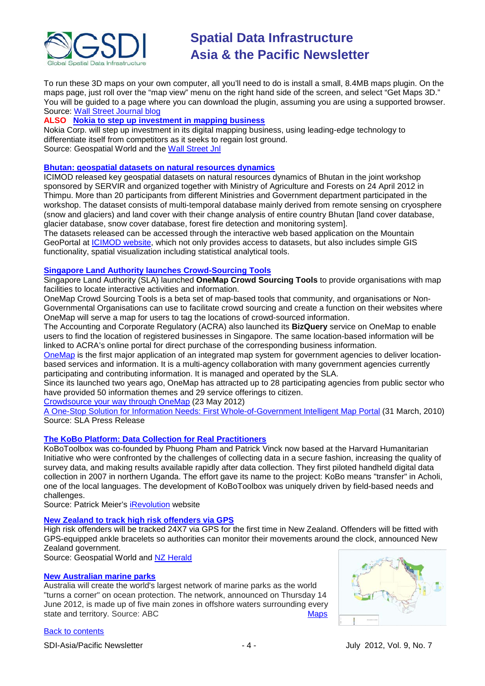

To run these 3D maps on your own computer, all you'll need to do is install a small, 8.4MB maps plugin. On the maps page, just roll over the "map view" menu on the right hand side of the screen, and select "Get Maps 3D." You will be guided to a page where you can download the plugin, assuming you are using a supported browser. [Source: Wall Street Journal blog](http://blogs.wsj.com/tech-europe/2012/06/15/3d-maps-nokia-was-there-before-apple/)

# **ALSO [Nokia to step up investment in mapping business](http://geospatialworld.net/index.php?option=com_content&view=article&id=25046%3Anokia-to-step-up-investment-in-mapping-business&catid=67%3Abusiness-general&Itemid=1)**

Nokia Corp. will step up investment in its digital mapping business, using leading-edge technology to differentiate itself from competitors as it seeks to regain lost ground. Source: Geospatial World and the [Wall Street Jnl](http://online.wsj.com/article/BT-CO-20120614-711160.html)

## **[Bhutan: geospatial datasets on natural resources dynamics](http://geoportal.icimod.org/NAE/NewsDetail.aspx?NewsID=316)**

ICIMOD released key geospatial datasets on natural resources dynamics of Bhutan in the joint workshop sponsored by SERVIR and organized together with Ministry of Agriculture and Forests on 24 April 2012 in Thimpu. More than 20 participants from different Ministries and Government department participated in the workshop. The dataset consists of multi-temporal database mainly derived from remote sensing on cryosphere (snow and glaciers) and land cover with their change analysis of entire country Bhutan [land cover database, glacier database, snow cover database, forest fire detection and monitoring system].

The datasets released can be accessed through the interactive web based application on the Mountain GeoPortal at **ICIMOD** website, which not only provides access to datasets, but also includes simple GIS functionality, spatial visualization including statistical analytical tools.

### **[Singapore Land Authority launches Crowd-Sourcing Tools](http://www.futuregov.asia/articles/2012/may/24/singapore-launches-crowd-sourcing-tools/)**

Singapore Land Authority (SLA) launched **OneMap Crowd Sourcing Tools** to provide organisations with map facilities to locate interactive activities and information.

OneMap Crowd Sourcing Tools is a beta set of map-based tools that community, and organisations or Non-Governmental Organisations can use to facilitate crowd sourcing and create a function on their websites where OneMap will serve a map for users to tag the locations of crowd-sourced information.

The Accounting and Corporate Regulatory (ACRA) also launched its **BizQuery** service on OneMap to enable users to find the location of registered businesses in Singapore. The same location-based information will be linked to ACRA's online portal for direct purchase of the corresponding business information.

[OneMap](http://www.onemap.sg/index.html) is the first major application of an integrated map system for government agencies to deliver locationbased services and information. It is a multi-agency collaboration with many government agencies currently participating and contributing information. It is managed and operated by the SLA.

Since its launched two years ago, OneMap has attracted up to 28 participating agencies from public sector who have provided 50 information themes and 29 service offerings to citizen.

[Crowdsource your way through OneMap](http://www.sla.gov.sg/htm/new/new2012/new2305.htm) (23 May 2012)

[A One-Stop Solution for Information Needs: First Whole-of-Government Intelligent Map Portal](http://www.sla.gov.sg/htm/new/new2010/new3103.htm) (31 March, 2010) Source: SLA Press Release

# **[The KoBo Platform: Data Collection for Real Practitioners](http://www.kobotoolbox.org/)**

KoBoToolbox was co-founded by Phuong Pham and Patrick Vinck now based at the Harvard Humanitarian Initiative who were confronted by the challenges of collecting data in a secure fashion, increasing the quality of survey data, and making results available rapidly after data collection. They first piloted handheld digital data collection in 2007 in northern Uganda. The effort gave its name to the project: KoBo means "transfer" in Acholi, one of the local languages. The development of KoBoToolbox was uniquely driven by field-based needs and challenges.

Source: Patrick Meier's [iRevolution](http://irevolution.net/2012/05/08/kobo-platform/) website

#### **[New Zealand to track high risk offenders via GPS](http://geospatialworld.net/index.php?option=com_content&view=article&id=25124%3Anew-zealand-to-track-high-risk-offenders-via-gps&catid=62%3Aapplication-e-governance&Itemid=1)**

High risk offenders will be tracked 24X7 via GPS for the first time in New Zealand. Offenders will be fitted with GPS-equipped ankle bracelets so authorities can monitor their movements around the clock, announced New Zealand government.

Source: Geospatial World and [NZ Herald](http://www.nzherald.co.nz/nz/news/article.cfm?c_id=1&objectid=10815804)

#### **[New Australian marine parks](http://www.abc.net.au/news/2012-06-14/burke-announces-marine-parks-reserve/4069532)**

Australia will create the world's largest network of marine parks as the world "turns a corner" on ocean protection. The network, announced on Thursday 14 June 2012, is made up of five main zones in offshore waters surrounding every state and territory. Source: ABC [Maps](http://www.abc.net.au/news/2012-06-14/australian-marine-reserves-maps/4069666)



# [Back to contents](#page-0-0)

SDI-Asia/Pacific Newsletter  $\begin{array}{ccc} -4 \\ -4 \end{array}$  -  $\begin{array}{ccc} -4 \\ -4 \end{array}$  July 2012, Vol. 9, No. 7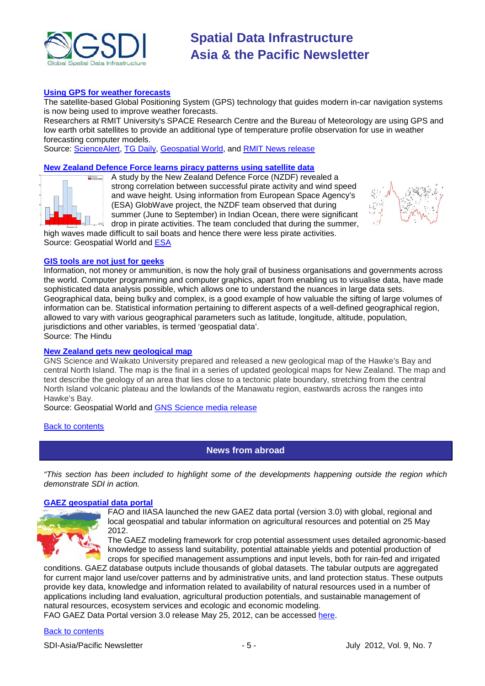

### **[Using GPS for weather forecasts](http://www.sciencealert.com.au/news/20121306-23472.html?utm_source=feedburner&utm_medium=email&utm_campaign=Feed%3A+sciencealert-latestnews+%28ScienceAlert-Latest+Stories%29)**

The satellite-based Global Positioning System (GPS) technology that guides modern in-car navigation systems is now being used to improve weather forecasts.

Researchers at RMIT University's SPACE Research Centre and the Bureau of Meteorology are using GPS and low earth orbit satellites to provide an additional type of temperature profile observation for use in weather forecasting computer models.

Source: [ScienceAlert,](http://www.sciencealert.com.au/) [TG Daily,](http://www.tgdaily.com/general-sciences-features/64001-gps-used-to-improve-weather-forecasts) [Geospatial World,](http://geospatialworld.net/index.php?option=com_content&view=article&id=25036%3Aresearchers-improve-weather-forecast-using-gps-data&catid=64%3Aapplication-environment&Itemid=1) and [RMIT News release](http://www.rmit.edu.au/browse%3bID=5pnnez2i5ekp%3bSTATUS=A)

# **[New Zealand Defence Force learns piracy patterns using satellite data](http://geospatialworld.net/index.php?option=com_content&view=article&id=25059%3Anzdf-learns-piracy-patterns-using-satellite-data&catid=66%3Aapplication-miscellaneous&Itemid=1)**

A study by the New Zealand Defence Force (NZDF) revealed a strong correlation between successful pirate activity and wind speed and wave height. Using information from European Space Agency's (ESA) GlobWave project, the NZDF team observed that during summer (June to September) in Indian Ocean, there were significant drop in pirate activities. The team concluded that during the summer,



high waves made difficult to sail boats and hence there were less pirate activities. Source: Geospatial World and [ESA](http://www.esa.int/esaEO/SEMATD8X73H_index_0.html)

#### **[GIS tools are not just for geeks](http://www.thehindu.com/news/states/karnataka/article3536891.ece)**

Information, not money or ammunition, is now the holy grail of business organisations and governments across the world. Computer programming and computer graphics, apart from enabling us to visualise data, have made sophisticated data analysis possible, which allows one to understand the nuances in large data sets. Geographical data, being bulky and complex, is a good example of how valuable the sifting of large volumes of information can be. Statistical information pertaining to different aspects of a well-defined geographical region, allowed to vary with various geographical parameters such as latitude, longitude, altitude, population, jurisdictions and other variables, is termed 'geospatial data'. Source: The Hindu

#### **[New Zealand gets new geological map](http://geospatialworld.net/index.php?option=com_content&view=article&id=25098%3Anew-zealand-gets-new-geological-map&catid=47%3Aproduct-surveying-mapping&Itemid=1)**

GNS Science and Waikato University prepared and released a new geological map of the Hawke's Bay and central North Island. The map is the final in a series of updated geological maps for New Zealand. The map and text describe the geology of an area that lies close to a tectonic plate boundary, stretching from the central North Island volcanic plateau and the lowlands of the Manawatu region, eastwards across the ranges into Hawke's Bay.

Source: Geospatial World and [GNS Science media release](http://www.gns.cri.nz/Home/News-and-Events/Media-Releases/qmap-hawkesbay)

#### <span id="page-4-0"></span>[Back to contents](#page-0-0)

### **News from abroad**

*"This section has been included to highlight some of the developments happening outside the region which demonstrate SDI in action.*

#### **[GAEZ geospatial data portal](http://www.fao.org/nr/gaez/en)**



FAO and IIASA launched the new GAEZ data portal (version 3.0) with global, regional and local geospatial and tabular information on agricultural resources and potential on 25 May 2012.

The GAEZ modeling framework for crop potential assessment uses detailed agronomic-based knowledge to assess land suitability, potential attainable yields and potential production of crops for specified management assumptions and input levels, both for rain-fed and irrigated

conditions. GAEZ database outputs include thousands of global datasets. The tabular outputs are aggregated for current major land use/cover patterns and by administrative units, and land protection status. These outputs provide key data, knowledge and information related to availability of natural resources used in a number of applications including land evaluation, agricultural production potentials, and sustainable management of natural resources, ecosystem services and ecologic and economic modeling.

FAO GAEZ Data Portal version 3.0 release May 25, 2012, can be accessed [here.](http://gaez.fao.org/Main.html)

## [Back to contents](#page-0-0)

SDI-Asia/Pacific Newsletter  $\sim$  5 -  $\sim$  5 - July 2012, Vol. 9, No. 7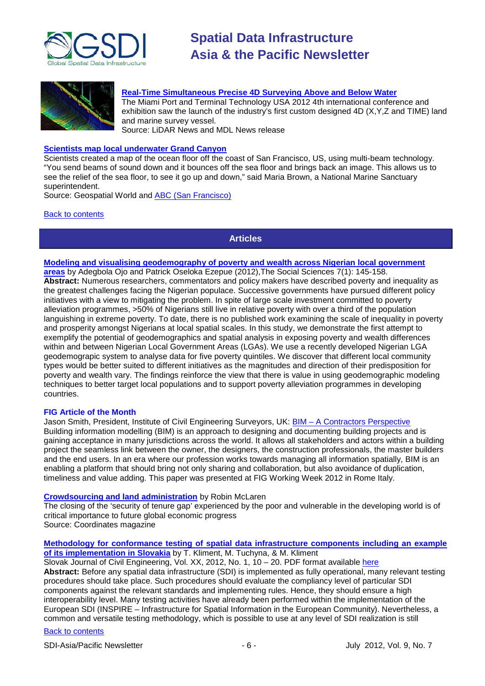



#### **[Real-Time Simultaneous Precise 4D Surveying Above and Below Water](http://www.lidarnews.com/content/view/9005/)**

The Miami Port and Terminal Technology USA 2012 4th international conference and exhibition saw the launch of the industry's first custom designed 4D (X,Y,Z and TIME) land and marine survey vessel.

Source: LiDAR News and MDL News release

## **[Scientists map local underwater Grand Canyon](http://geospatialworld.net/index.php?option=com_content&view=article&id=25138%3Ascientists-map-local-underwater-grand-canyon&catid=64%3Aapplication-environment&Itemid=1)**

Scientists created a map of the ocean floor off the coast of San Francisco, US, using multi-beam technology. "You send beams of sound down and it bounces off the sea floor and brings back an image. This allows us to see the relief of the sea floor, to see it go up and down," said Maria Brown, a National Marine Sanctuary superintendent.

Source: Geospatial World and [ABC \(San Francisco\)](http://abclocal.go.com/kgo/story?section=news/assignment_7&id=8717343)

<span id="page-5-0"></span>**[Back to contents](#page-0-0)** 

# **Articles**

## **[Modeling and visualising geodemography of poverty and wealth across Nigerian local government](http://docsdrive.com/pdfs/medwelljournals/sscience/2012/145-158.pdf)**

**[areas](http://docsdrive.com/pdfs/medwelljournals/sscience/2012/145-158.pdf)** by Adegbola Ojo and Patrick Oseloka Ezepue (2012),The Social Sciences 7(1): 145-158. **Abstract:** Numerous researchers, commentators and policy makers have described poverty and inequality as the greatest challenges facing the Nigerian populace. Successive governments have pursued different policy initiatives with a view to mitigating the problem. In spite of large scale investment committed to poverty alleviation programmes, >50% of Nigerians still live in relative poverty with over a third of the population languishing in extreme poverty. To date, there is no published work examining the scale of inequality in poverty and prosperity amongst Nigerians at local spatial scales. In this study, we demonstrate the first attempt to exemplify the potential of geodemographics and spatial analysis in exposing poverty and wealth differences within and between Nigerian Local Government Areas (LGAs). We use a recently developed Nigerian LGA geodemograpic system to analyse data for five poverty quintiles. We discover that different local community types would be better suited to different initiatives as the magnitudes and direction of their predisposition for poverty and wealth vary. The findings reinforce the view that there is value in using geodemographic modeling techniques to better target local populations and to support poverty alleviation programmes in developing countries.

#### **FIG Article of the Month**

Jason Smith, President, Institute of Civil Engineering Surveyors, UK: **BIM - [A Contractors Perspective](http://www.fig.net/pub/monthly_articles/june_2012/june_2012_smith.html)** Building information modelling (BIM) is an approach to designing and documenting building projects and is gaining acceptance in many jurisdictions across the world. It allows all stakeholders and actors within a building project the seamless link between the owner, the designers, the construction professionals, the master builders and the end users. In an era where our profession works towards managing all information spatially, BIM is an enabling a platform that should bring not only sharing and collaboration, but also avoidance of duplication, timeliness and value adding. This paper was presented at FIG Working Week 2012 in Rome Italy.

### **[Crowdsourcing and land administration](http://mycoordinates.org/crowdsourcing-and-land-administration/)** by [Robin McLaren](http://mycoordinates.org/tag/robin-mclaren/)

The closing of the 'security of tenure gap' experienced by the poor and vulnerable in the developing world is of critical importance to future global economic progress Source: Coordinates magazine

**[Methodology for conformance testing of spatial data infrastructure components including an example](http://versita.metapress.com/content/0102h341j23r4880/)  [of its implementation in Slovakia](http://versita.metapress.com/content/0102h341j23r4880/)** by T. Kliment, M. Tuchyna, & M. Kliment

Slovak Journal of Civil Engineering, Vol. XX, 2012, No. 1, 10 – 20. PDF format available [here](http://versita.metapress.com/content/0102h341j23r4880/fulltext.pdf) **Abstract:** Before any spatial data infrastructure (SDI) is implemented as fully operational, many relevant testing procedures should take place. Such procedures should evaluate the compliancy level of particular SDI components against the relevant standards and implementing rules. Hence, they should ensure a high interoperability level. Many testing activities have already been performed within the implementation of the European SDI (INSPIRE – Infrastructure for Spatial Information in the European Community). Nevertheless, a common and versatile testing methodology, which is possible to use at any level of SDI realization is still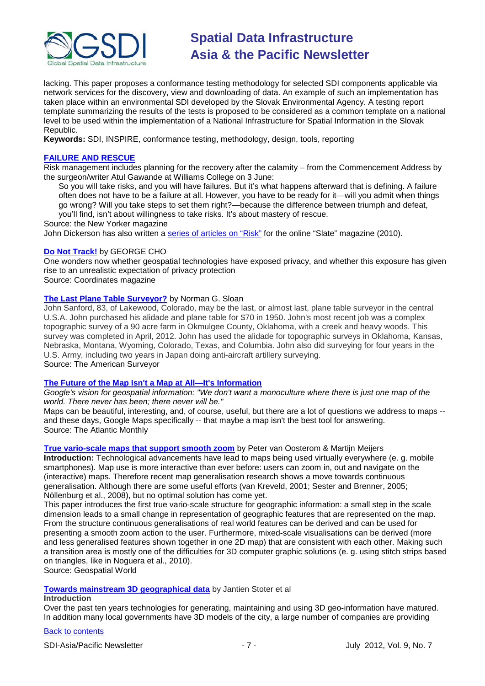

lacking. This paper proposes a conformance testing methodology for selected SDI components applicable via network services for the discovery, view and downloading of data. An example of such an implementation has taken place within an environmental SDI developed by the Slovak Environmental Agency. A testing report template summarizing the results of the tests is proposed to be considered as a common template on a national level to be used within the implementation of a National Infrastructure for Spatial Information in the Slovak Republic.

**Keywords:** SDI, INSPIRE, conformance testing, methodology, design, tools, reporting

# **[FAILURE AND RESCUE](http://www.newyorker.com/online/blogs/newsdesk/2012/06/atul-gawande-failure-and-rescue.html)**

Risk management includes planning for the recovery after the calamity – from the Commencement Address by the surgeon/writer Atul Gawande at Williams College on 3 June:

So you will take risks, and you will have failures. But it's what happens afterward that is defining. A failure often does not have to be a failure at all. However, you have to be ready for it—will you admit when things go wrong? Will you take steps to set them right?—because the difference between triumph and defeat, you'll find, isn't about willingness to take risks. It's about mastery of rescue.

Source: the New Yorker magazine

John Dickerson has also written a [series of articles on "Risk"](http://www.slate.com/articles/life/risk/2010/04/risk.html) for the online "Slate" magazine (2010).

# **[Do Not Track!](http://mycoordinates.org/do-not-track/)** by [GEORGE CHO](http://mycoordinates.org/tag/george-cho/)

One wonders now whether geospatial technologies have exposed privacy, and whether this exposure has given rise to an unrealistic expectation of privacy protection

Source: Coordinates magazine

## **[The Last Plane Table Surveyor?](http://www.amerisurv.com/content/view/10233/)** by Norman G. Sloan

John Sanford, 83, of Lakewood, Colorado, may be the last, or almost last, plane table surveyor in the central U.S.A. John purchased his alidade and plane table for \$70 in 1950. John's most recent job was a complex topographic survey of a 90 acre farm in Okmulgee County, Oklahoma, with a creek and heavy woods. This survey was completed in April, 2012. John has used the alidade for topographic surveys in Oklahoma, Kansas, Nebraska, Montana, Wyoming, Colorado, Texas, and Columbia. John also did surveying for four years in the U.S. Army, including two years in Japan doing anti-aircraft artillery surveying. Source: The American Surveyor

# **[The Future of the Map Isn't a Map at All—It's Information](http://www.theatlantic.com/technology/archive/2012/06/the-future-of-the-map-isnt-a-map-at-all-its-information/259252/)**

*Google's vision for geospatial information: "We don't want a monoculture where there is just one map of the world. There never has been; there never will be."*

Maps can be beautiful, interesting, and, of course, useful, but there are a lot of questions we address to maps - and these days, Google Maps specifically -- that maybe a map isn't the best tool for answering. Source: The Atlantic Monthly

**[True vario-scale maps that support smooth zoom](http://www.geospatialworld.net/index.php?option=com_content&view=article&id=24932:true-vario-scale-maps-that-support-smooth-zoom&catid=96&Itemid=50)** by Peter van Oosterom & Martijn Meijers

**Introduction:** Technological advancements have lead to maps being used virtually everywhere (e. g. mobile smartphones). Map use is more interactive than ever before: users can zoom in, out and navigate on the (interactive) maps. Therefore recent map generalisation research shows a move towards continuous generalisation. Although there are some useful efforts (van Kreveld, 2001; Sester and Brenner, 2005; Nöllenburg et al., 2008), but no optimal solution has come yet.

This paper introduces the first true vario-scale structure for geographic information: a small step in the scale dimension leads to a small change in representation of geographic features that are represented on the map. From the structure continuous generalisations of real world features can be derived and can be used for presenting a smooth zoom action to the user. Furthermore, mixed-scale visualisations can be derived (more and less generalised features shown together in one 2D map) that are consistent with each other. Making such a transition area is mostly one of the difficulties for 3D computer graphic solutions (e. g. using stitch strips based on triangles, like in Noguera et al., 2010).

Source: Geospatial World

**[Towards mainstream 3D geographical data](http://www.geospatialworld.net/index.php?option=com_content&view=article&id=25159:towards-mainstream-3d-geographical-data&catid=96&Itemid=50)** by Jantien Stoter et al

# **Introduction**

Over the past ten years technologies for generating, maintaining and using 3D geo-information have matured. In addition many local governments have 3D models of the city, a large number of companies are providing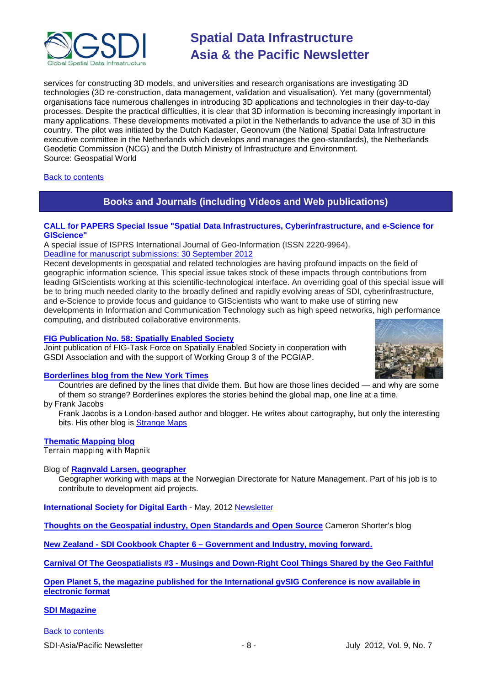

services for constructing 3D models, and universities and research organisations are investigating 3D technologies (3D re-construction, data management, validation and visualisation). Yet many (governmental) organisations face numerous challenges in introducing 3D applications and technologies in their day-to-day processes. Despite the practical difficulties, it is clear that 3D information is becoming increasingly important in many applications. These developments motivated a pilot in the Netherlands to advance the use of 3D in this country. The pilot was initiated by the Dutch Kadaster, Geonovum (the National Spatial Data Infrastructure executive committee in the Netherlands which develops and manages the geo-standards), the Netherlands Geodetic Commission (NCG) and the Dutch Ministry of Infrastructure and Environment. Source: Geospatial World

# <span id="page-7-0"></span>**[Back to contents](#page-0-0)**

# **Books and Journals (including Videos and Web publications)**

## **CALL for PAPERS Special Issue "Spatial Data Infrastructures, Cyberinfrastructure, and e-Science for GIScience"**

A special issue of ISPRS International Journal of Geo-Information (ISSN 2220-9964).

# [Deadline for manuscript submissions: 30 September 2012](http://www.mdpi.com/journal/ijgi/special_issues/spatial_data/)

Recent developments in geospatial and related technologies are having profound impacts on the field of geographic information science. This special issue takes stock of these impacts through contributions from leading GIScientists working at this scientific-technological interface. An overriding goal of this special issue will be to bring much needed clarity to the broadly defined and rapidly evolving areas of SDI, cyberinfrastructure, and e-Science to provide focus and guidance to GIScientists who want to make use of stirring new developments in Information and Communication Technology such as high speed networks, high performance computing, and distributed collaborative environments.

## **[FIG Publication No. 58: Spatially Enabled Society](http://www.fig.net/pub/figpub/pub58/figpub58.pdf)**

Joint publication of FIG-Task Force on Spatially Enabled Society in cooperation with GSDI Association and with the support of Working Group 3 of the PCGIAP.



# **[Borderlines blog from the New York Times](http://opinionator.blogs.nytimes.com/category/borderlines/)**

Countries are defined by the lines that divide them. But how are those lines decided — and why are some of them so strange? Borderlines explores the stories behind the global map, one line at a time.

by Frank Jacobs

Frank Jacobs is a London-based author and blogger. He writes about cartography, but only the interesting bits. His other blog is [Strange Maps](http://bigthink.com/blogs/strange-maps)

#### **[Thematic Mapping blog](http://blog.thematicmapping.org/)**

Terrain mapping with Mapnik

Blog of **[Ragnvald Larsen, geographer](http://www.mindland.com/wp/)**

Geographer working with maps at the Norwegian Directorate for Nature Management. Part of his job is to contribute to development aid projects.

**International Society for Digital Earth** - May, 2012 [Newsletter](http://www.digitalearth-isde.org/news/isde-newsletter(20120508).html)

**[Thoughts on the Geospatial industry, Open Standards and Open Source](http://cameronshorter.blogspot.com/2011/06/memoirs-of-cat-herder-coordinating.html)** Cameron Shorter's blog

**New Zealand - SDI Cookbook Chapter 6 – [Government and Industry, moving forward.](http://www.geospatial.govt.nz/sdi-cookbook-chapter-6-government-and-industry-moving-forward)**

**Carnival Of The Geospatialists #3 - [Musings and Down-Right Cool Things Shared by the Geo Faithful](http://www.gisuser.com/content/view/25690/28/)**

**[Open Planet 5, the magazine published for the International gvSIG Conference is now available in](http://jornadas.gvsig.org/descargas/magazine)  [electronic format](http://jornadas.gvsig.org/descargas/magazine)**

**[SDI Magazine](http://www.sdimag.com/)**

[Back to contents](#page-0-0)

SDI-Asia/Pacific Newsletter  $\overline{\phantom{a}}$  - 8 -  $\overline{\phantom{a}}$  July 2012, Vol. 9, No. 7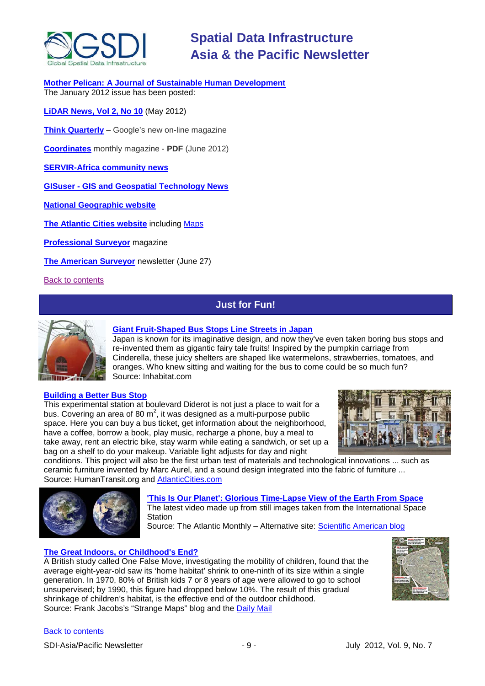

**[Mother Pelican: A Journal of Sustainable Human Development](http://www.pelicanweb.org/solisustv08n01page1.html)** The January 2012 issue has been posted:

**[LiDAR News, Vol 2, No 10](http://www.lidarnews.com/newsletter/Vol2No10.htm)** (May 2012)

**[Think Quarterly](http://thinkquarterly.co.uk/#aboutthebook)** – Google's new on-line magazine

**[Coordinates](http://mycoordinates.org/pdf/jun12.pdf)** monthly magazine - **PDF** (June 2012)

**[SERVIR-Africa community news](http://www.servirglobal.net/africa/en/News/CommunityNews.aspx)**

**GISuser - [GIS and Geospatial Technology News](http://www.gisuser.com/)**

**[National Geographic website](http://www.nationalgeographic.com/)**

**[The Atlantic Cities website](http://www.theatlanticcities.com/)** including [Maps](http://www.theatlanticcities.com/posts/map/)

**[Professional Surveyor](http://www.profsurv.com/)** magazine

**[The American Surveyor](http://www.amerisurv.com/newsletter/27JUN2012.htm)** newsletter (June 27)

<span id="page-8-0"></span>[Back to contents](#page-0-0)

# **Just for Fun!**



## **[Giant Fruit-Shaped Bus Stops Line Streets in Japan](http://inhabitat.com/giant-fruit-shaped-bus-stops-line-streets-in-japan/)**

Japan is known for its imaginative design, and now they've even taken boring bus stops and re-invented them as gigantic fairy tale fruits! Inspired by the pumpkin carriage from Cinderella, these juicy shelters are shaped like watermelons, strawberries, tomatoes, and oranges. Who knew sitting and waiting for the bus to come could be so much fun? Source: Inhabitat.com

#### **[Building a Better Bus Stop](http://www.humantransit.org/2012/05/paris-the-bus-stop-of-the-future.html)**

This experimental station at boulevard Diderot is not just a place to wait for a bus. Covering an area of 80 m<sup>2</sup>, it was designed as a multi-purpose public space. Here you can buy a bus ticket, get information about the neighborhood, have a coffee, borrow a book, play music, recharge a phone, buy a meal to take away, rent an electric bike, stay warm while eating a sandwich, or set up a bag on a shelf to do your makeup. Variable light adjusts for day and night



conditions. This project will also be the first urban test of materials and technological innovations ... such as ceramic furniture invented by Marc Aurel, and a sound design integrated into the fabric of furniture ... Source: HumanTransit.org and [AtlanticCities.com](http://www.theatlanticcities.com/commute/2012/06/building-better-bus-stop/2325/)



**['This Is Our Planet': Glorious Time-Lapse View of the Earth From Space](http://www.theatlantic.com/technology/archive/2012/06/this-is-our-planet-glorious-time-lapse-view-of-the-earth-from-space/259181/)**

The latest video made up from still images taken from the International Space **Station** 

Source: The Atlantic Monthly – Alternative site: [Scientific American blog](http://blogs.scientificamerican.com/plugged-in/2012/06/29/this-is-our-planet-another-amazing-time-lapse-video-of-earth-from-the-international-space-station/?WT_mc_id=SA_DD_20120702)

# **[The Great Indoors, or Childhood's End?](http://bigthink.com/strange-maps/571-the-great-indoors-or-childhoods-end)**

A British study called One False Move, investigating the mobility of children, found that the average eight-year-old saw its 'home habitat' shrink to one-ninth of its size within a single generation. In 1970, 80% of British kids 7 or 8 years of age were allowed to go to school unsupervised; by 1990, this figure had dropped below 10%. The result of this gradual shrinkage of children's habitat, is the effective end of the outdoor childhood. Source: Frank Jacobs's "Strange Maps" blog and the [Daily Mail](http://www.dailymail.co.uk/news/article-462091/How-children-lost-right-roam-generations.html#ixzz1ywZBP0EF)



# [Back to contents](#page-0-0)

SDI-Asia/Pacific Newsletter  $-9 -$  - 9 -  $-9 -$  July 2012, Vol. 9, No. 7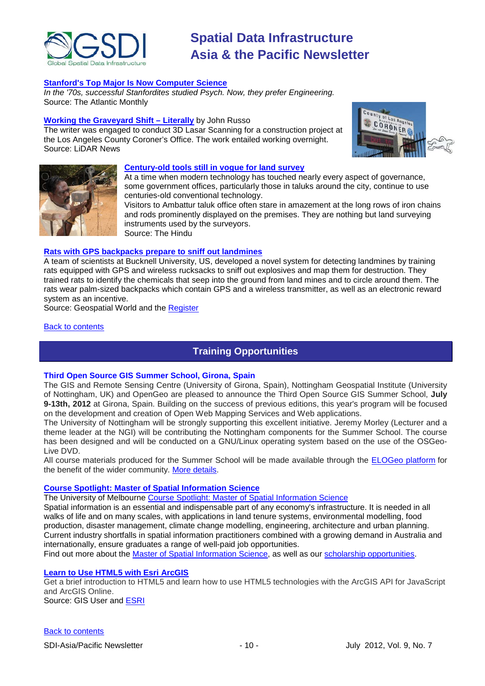

## **Stanford's Top Major Is Now Computer Science**

*In the '70s, successful Stanfordites studied Psych. Now, they prefer Engineering.* Source: The Atlantic Monthly

#### **[Working the Graveyard Shift –](http://www.lidarnews.com/content/view/9014/) Literally** by John Russo

The writer was engaged to conduct 3D Lasar Scanning for a construction project at the Los Angeles County Coroner's Office. The work entailed working overnight. Source: LiDAR News





#### **[Century-old tools still in vogue for land survey](http://www.thehindu.com/life-and-style/money-and-careers/article3559840.ece)**

At a time when modern technology has touched nearly every aspect of governance, some government offices, particularly those in taluks around the city, continue to use centuries-old conventional technology.

Visitors to Ambattur taluk office often stare in amazement at the long rows of iron chains and rods prominently displayed on the premises. They are nothing but land surveying instruments used by the surveyors. Source: The Hindu

#### **[Rats with GPS backpacks prepare to sniff out landmines](http://geospatialworld.net/index.php?option=com_content&view=article&id=25014%3Arats-with-gps-backpacks-prepare-to-sniff-out-landmines&catid=57%3Aapplication-military&Itemid=1)**

A team of scientists at Bucknell University, US, developed a novel system for detecting landmines by training rats equipped with GPS and wireless rucksacks to sniff out explosives and map them for destruction. They trained rats to identify the chemicals that seep into the ground from land mines and to circle around them. The rats wear palm-sized backpacks which contain GPS and a wireless transmitter, as well as an electronic reward system as an incentive.

Source: Geospatial World and the [Register](http://www.theregister.co.uk/2012/06/08/gps_rat_landmine_sniffers/)

<span id="page-9-0"></span>[Back to contents](#page-0-0)

# **Training Opportunities**

#### **Third Open Source GIS Summer School, Girona, Spain**

The GIS and Remote Sensing Centre (University of Girona, Spain), Nottingham Geospatial Institute (University of Nottingham, UK) and OpenGeo are pleased to announce the Third Open Source GIS Summer School, **July 9-13th, 2012** at Girona, Spain. Building on the success of previous editions, this year's program will be focused on the development and creation of Open Web Mapping Services and Web applications.

The University of Nottingham will be strongly supporting this excellent initiative. Jeremy Morley (Lecturer and a theme leader at the NGI) will be contributing the Nottingham components for the Summer School. The course has been designed and will be conducted on a GNU/Linux operating system based on the use of the OSGeo-Live DVD.

All course materials produced for the Summer School will be made available through the [ELOGeo platform](http://elogeo.nottingham.ac.uk/) for the benefit of the wider community. [More details.](http://www.sigte.udg.edu/summerschool2012/)

### **[Course Spotlight: Master of Spatial Information](http://themelbourneengineer.eng.unimelb.edu.au/2012/02/course-spotlight-master-of-spatial-information-science/) Science**

The University of Melbourne [Course Spotlight: Master of Spatial Information Science](http://themelbourneengineer.eng.unimelb.edu.au/2012/02/course-spotlight-master-of-spatial-information-science/)

Spatial information is an essential and indispensable part of any economy's infrastructure. It is needed in all walks of life and on many scales, with applications in land tenure systems, environmental modelling, food production, disaster management, climate change modelling, engineering, architecture and urban planning. Current industry shortfalls in spatial information practitioners combined with a growing demand in Australia and internationally, ensure graduates a range of well-paid job opportunities.

Find out more about the [Master of Spatial Information Science,](http://www.msi.unimelb.edu.au/study/graduate/master-of-spatial-information-science/) as well as our [scholarship opportunities.](http://www.eng.unimelb.edu.au/study/graduate/scholarships.html)

#### **[Learn to Use HTML5 with Esri ArcGIS](http://www.gisuser.com/content/view/25915/2/)**

Get a brief introduction to HTML5 and learn how to use HTML5 technologies with the ArcGIS API for JavaScript and ArcGIS Online. Source: GIS User and **ESRI**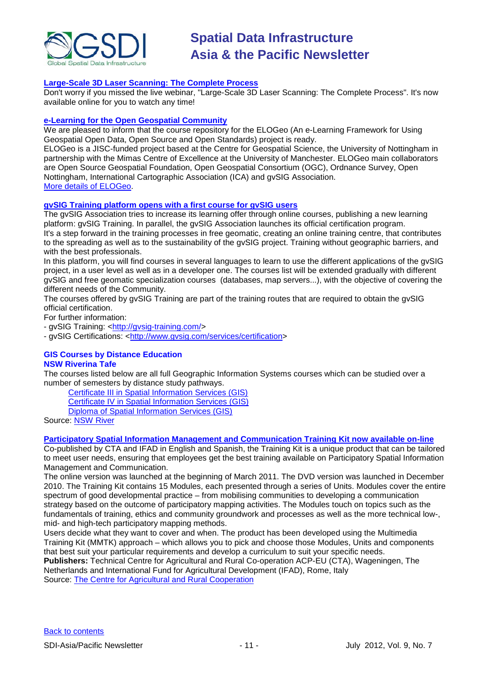

# **[Large-Scale 3D Laser Scanning: The Complete Process](http://www.faro.com/site/resources/details/1373?CampaignId=70170000000bbwr)**

Don't worry if you missed the live webinar, "Large-Scale 3D Laser Scanning: The Complete Process". It's now available online for you to watch any time!

#### **[e-Learning for the Open Geospatial Community](http://elogeo.nottingham.ac.uk/xmlui)**

We are pleased to inform that the course repository for the ELOGeo (An e-Learning Framework for Using Geospatial Open Data, Open Source and Open Standards) project is ready.

ELOGeo is a JISC-funded project based at the Centre for Geospatial Science, the University of Nottingham in partnership with the Mimas Centre of Excellence at the University of Manchester. ELOGeo main collaborators are Open Source Geospatial Foundation, Open Geospatial Consortium (OGC), Ordnance Survey, Open Nottingham, International Cartographic Association (ICA) and gvSIG Association. [More details of ELOGeo.](http://elogeo.nottingham.ac.uk/index.html)

# **gvSIG Training platform opens with a first course for gvSIG users**

The gvSIG Association tries to increase its learning offer through online courses, publishing a new learning platform: gvSIG Training. In parallel, the gvSIG Association launches its official certification program. It's a step forward in the training processes in free geomatic, creating an online training centre, that contributes to the spreading as well as to the sustainability of the gvSIG project. Training without geographic barriers, and with the best professionals.

In this platform, you will find courses in several languages to learn to use the different applications of the gvSIG project, in a user level as well as in a developer one. The courses list will be extended gradually with different gvSIG and free geomatic specialization courses (databases, map servers...), with the objective of covering the different needs of the Community.

The courses offered by gvSIG Training are part of the training routes that are required to obtain the gvSIG official certification.

For further information:

- gvSIG Training: [<http://gvsig-training.com/>](http://gvsig-training.com/)

- gvSIG Certifications: [<http://www.gvsig.com/services/certification>](http://www.gvsig.com/services/certification)

#### **GIS Courses by Distance Education NSW Riverina Tafe**

The courses listed below are all full Geographic Information Systems courses which can be studied over a number of semesters by distance study pathways.

[Certificate III in Spatial Information Services \(GIS\)](http://www.rit.tafensw.edu.au/nec/nrme/giscourses#Cert III in Spatial Information Services (CPP30109))

[Certificate IV in Spatial Information Services \(GIS\)](http://www.rit.tafensw.edu.au/nec/nrme/giscourses#Cert IV in Spatial Information Services (CPP40209))

[Diploma of Spatial Information Services \(GIS\)](http://www.rit.tafensw.edu.au/nec/nrme/giscourses#Diploma of Spatial Information Services (CPP50207))

Sourc[e: NSW River](http://www.rit.tafensw.edu.au/nec/nrme/giscourses)

#### **[Participatory Spatial Information Management and Communication Training Kit now available on-line](http://www.cta.int/en/About-us/CTA-news/Participatory-Spatial-Information-Management-and-Communication-Training-Kit-now-available-on-line)**

Co-published by CTA and IFAD in English and Spanish, the Training Kit is a unique product that can be tailored to meet user needs, ensuring that employees get the best training available on Participatory Spatial Information Management and Communication.

The [online version](http://pgis-tk.cta.int/) was launched at the beginning of March 2011. The DVD version was launched in December 2010. The Training Kit contains 15 Modules, each presented through a series of Units. Modules cover the entire spectrum of good developmental practice – from mobilising communities to developing a communication strategy based on the outcome of participatory mapping activities. The Modules touch on topics such as the fundamentals of training, ethics and community groundwork and processes as well as the more technical low-, mid- and high-tech participatory mapping methods.

Users decide what they want to cover and when. The product has been developed using the Multimedia Training Kit (MMTK) approach – which allows you to pick and choose those Modules, Units and components that best suit your particular requirements and develop a curriculum to suit your specific needs. **Publishers:** Technical Centre for Agricultural and Rural Co-operation ACP-EU (CTA), Wageningen, The

Netherlands and International Fund for Agricultural Development (IFAD), Rome, Italy Source: [The Centre for Agricultural and Rural Cooperation](http://www.cta.int/en/About-us/Who-we-are)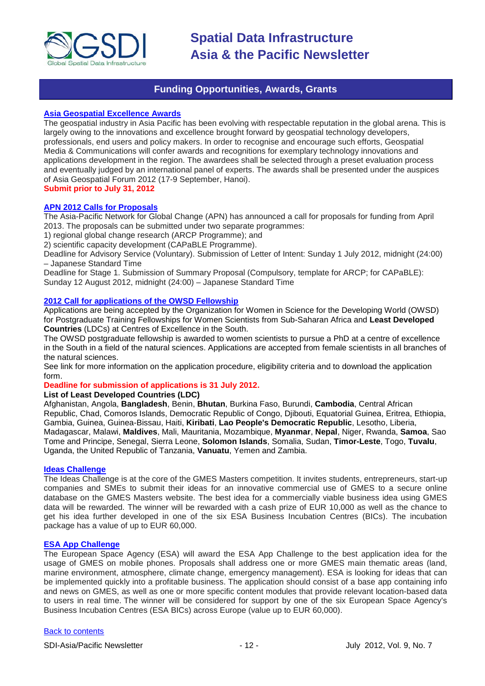

# **Funding Opportunities, Awards, Grants**

#### <span id="page-11-0"></span>**[Asia Geospatial Excellence Awards](http://www.asiageospatialforum.org/2012/agea.htm)**

The geospatial industry in Asia Pacific has been evolving with respectable reputation in the global arena. This is largely owing to the innovations and excellence brought forward by geospatial technology developers, professionals, end users and policy makers. In order to recognise and encourage such efforts, Geospatial Media & Communications will confer awards and recognitions for exemplary technology innovations and applications development in the region. The awardees shall be selected through a preset evaluation process and eventually judged by an international panel of experts. The awards shall be presented under the auspices of Asia Geospatial Forum 2012 (17-9 September, Hanoi). **Submit prior to July 31, 2012**

#### **[APN 2012 Calls for Proposals](http://www.apn-gcr.org/2012/06/07/apns-2012-calls-for-proposals/)**

The Asia-Pacific Network for Global Change (APN) has announced a call for proposals for funding from April 2013. The proposals can be submitted under two separate programmes:

1) regional global change research (ARCP Programme); and

2) scientific capacity development (CAPaBLE Programme).

Deadline for Advisory Service (Voluntary). Submission of Letter of Intent: Sunday 1 July 2012, midnight (24:00) – Japanese Standard Time

Deadline for Stage 1. Submission of Summary Proposal (Compulsory, template for ARCP; for CAPaBLE): Sunday 12 August 2012, midnight (24:00) – Japanese Standard Time

## **[2012 Call for applications of the OWSD Fellowship](http://owsdw.ictp.it/activities/postgraduate-training-fellowships)**

Applications are being accepted by the Organization for Women in Science for the Developing World (OWSD) for Postgraduate Training Fellowships for Women Scientists from Sub-Saharan Africa and **Least Developed Countries** (LDCs) at Centres of Excellence in the South.

The OWSD postgraduate fellowship is awarded to women scientists to pursue a PhD at a centre of excellence in the South in a field of the natural sciences. Applications are accepted from female scientists in all branches of the natural sciences.

See link for more information on the application procedure, eligibility criteria and to download the application form.

# **Deadline for submission of applications is 31 July 2012.**

### **List of Least Developed Countries (LDC)**

Afghanistan, Angola, **Bangladesh**, Benin, **Bhutan**, Burkina Faso, Burundi, **Cambodia**, Central African Republic, Chad, Comoros Islands, Democratic Republic of Congo, Djibouti, Equatorial Guinea, Eritrea, Ethiopia, Gambia, Guinea, Guinea-Bissau, Haiti, **Kiribati**, **Lao People's Democratic Republic**, Lesotho, Liberia, Madagascar, Malawi, **Maldives**, Mali, Mauritania, Mozambique, **Myanmar**, **Nepal**, Niger, Rwanda, **Samoa**, Sao Tome and Principe, Senegal, Sierra Leone, **Solomon Islands**, Somalia, Sudan, **Timor-Leste**, Togo, **Tuvalu**, Uganda, the United Republic of Tanzania, **Vanuatu**, Yemen and Zambia.

#### **[Ideas Challenge](http://www.gmes-masters.com/ideas-challenge)**

The Ideas Challenge is at the core of the GMES Masters competition. It invites students, entrepreneurs, start-up companies and SMEs to submit their ideas for an innovative commercial use of GMES to a secure online database on the GMES Masters website. The best idea for a commercially viable business idea using GMES data will be rewarded. The winner will be rewarded with a cash prize of EUR 10,000 as well as the chance to get his idea further developed in one of the six ESA Business Incubation Centres (BICs). The incubation package has a value of up to EUR 60,000.

## **[ESA App Challenge](http://www.gmes-masters.com/esa-app-challenge)**

The European Space Agency (ESA) will award the ESA App Challenge to the best application idea for the usage of GMES on mobile phones. Proposals shall address one or more GMES main thematic areas (land, marine environment, atmosphere, climate change, emergency management). ESA is looking for ideas that can be implemented quickly into a profitable business. The application should consist of a base app containing info and news on GMES, as well as one or more specific content modules that provide relevant location-based data to users in real time. The winner will be considered for support by one of the six European Space Agency's Business Incubation Centres (ESA BICs) across Europe (value up to EUR 60,000).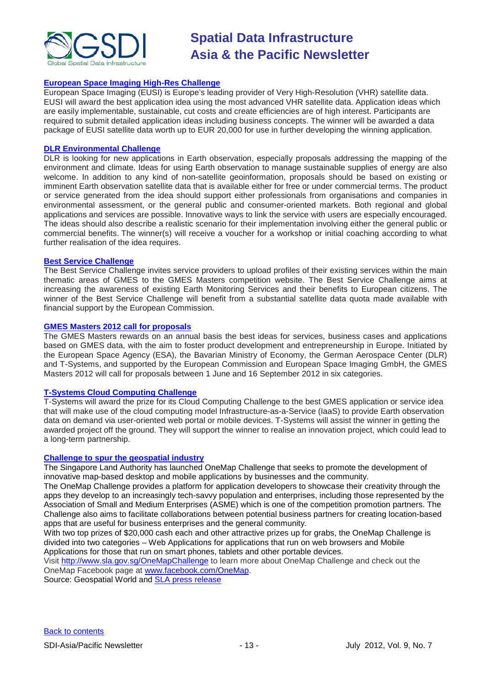

## **[European Space Imaging High-Res Challenge](http://www.gmes-masters.com/european-space-0)**

European Space Imaging (EUSI) is Europe's leading provider of Very High-Resolution (VHR) satellite data. EUSI will award the best application idea using the most advanced VHR satellite data. Application ideas which are easily implementable, sustainable, cut costs and create efficiencies are of high interest. Participants are required to submit detailed application ideas including business concepts. The winner will be awarded a data package of EUSI satellite data worth up to EUR 20,000 for use in further developing the winning application.

#### **[DLR Environmental Challenge](http://www.gmes-masters.com/dlr-environmental)**

DLR is looking for new applications in Earth observation, especially proposals addressing the mapping of the environment and climate. Ideas for using Earth observation to manage sustainable supplies of energy are also welcome. In addition to any kind of non-satellite geoinformation, proposals should be based on existing or imminent Earth observation satellite data that is available either for free or under commercial terms. The product or service generated from the idea should support either professionals from organisations and companies in environmental assessment, or the general public and consumer-oriented markets. Both regional and global applications and services are possible. Innovative ways to link the service with users are especially encouraged. The ideas should also describe a realistic scenario for their implementation involving either the general public or commercial benefits. The winner(s) will receive a voucher for a workshop or initial coaching according to what further realisation of the idea requires.

#### **[Best Service Challenge](http://www.gmes-masters.com/best-service)**

The Best Service Challenge invites service providers to upload profiles of their existing services within the main thematic areas of GMES to the GMES Masters competition website. The Best Service Challenge aims at increasing the awareness of existing Earth Monitoring Services and their benefits to European citizens. The winner of the Best Service Challenge will benefit from a substantial satellite data quota made available with financial support by the European Commission.

#### **[GMES Masters 2012 call for proposals](http://www.gmes-masters.com/challenges-2012)**

The GMES Masters rewards on an annual basis the best ideas for services, business cases and applications based on GMES data, with the aim to foster product development and entrepreneurship in Europe. Initiated by the European Space Agency (ESA), the Bavarian Ministry of Economy, the German Aerospace Center (DLR) and T-Systems, and supported by the European Commission and European Space Imaging GmbH, the GMES Masters 2012 will call for proposals between 1 June and 16 September 2012 in six categories.

# **T-Systems [Cloud Computing Challenge](http://www.gmes-masters.com/t-systems-cloud)**

T-Systems will award the prize for its Cloud Computing Challenge to the best GMES application or service idea that will make use of the cloud computing model Infrastructure-as-a-Service (IaaS) to provide Earth observation data on demand via user-oriented web portal or mobile devices. T-Systems will assist the winner in getting the awarded project off the ground. They will support the winner to realise an innovation project, which could lead to a long-term partnership.

#### **[Challenge to spur the geospatial industry](http://geospatialworld.net/index.php?option=com_content&view=article&id=23850:challenge-to-spur-the-geospatial-industry&catid=75:miscellaneous-events)**

The Singapore Land Authority has launched OneMap Challenge that seeks to promote the development of innovative map-based desktop and mobile applications by businesses and the community.

The OneMap Challenge provides a platform for application developers to showcase their creativity through the apps they develop to an increasingly tech-savvy population and enterprises, including those represented by the Association of Small and Medium Enterprises (ASME) which is one of the competition promotion partners. The Challenge also aims to facilitate collaborations between potential business partners for creating location-based apps that are useful for business enterprises and the general community.

With two top prizes of \$20,000 cash each and other attractive prizes up for grabs, the OneMap Challenge is divided into two categories – Web Applications for applications that run on web browsers and Mobile Applications for those that run on smart phones, tablets and other portable devices.

Visit <http://www.sla.gov.sg/OneMapChallenge> to learn more about OneMap Challenge and check out the OneMap Facebook page at [www.facebook.com/OneMap.](http://www.facebook.com/OneMap)

Source: Geospatial World and [SLA press release](http://www.sla.gov.sg/htm/new/new2012/new0401.htm)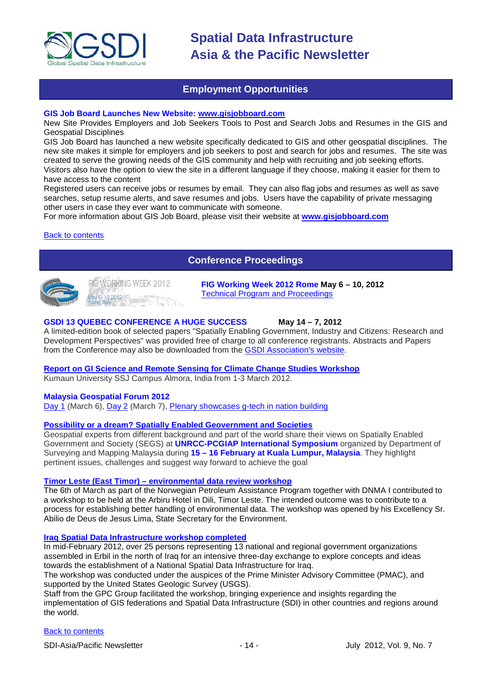

# **Employment Opportunities**

### <span id="page-13-0"></span>**GIS Job Board Launches New Website: [www.gisjobboard.com](http://www.gisjobboard.com/)**

New Site Provides Employers and Job Seekers Tools to Post and Search Jobs and Resumes in the GIS and Geospatial Disciplines

GIS Job Board has launched a new website specifically dedicated to GIS and other geospatial disciplines. The new site makes it simple for employers and job seekers to post and search for jobs and resumes. The site was created to serve the growing needs of the GIS community and help with recruiting and job seeking efforts. Visitors also have the option to view the site in a different language if they choose, making it easier for them to have access to the content

Registered users can receive jobs or resumes by email. They can also flag jobs and resumes as well as save searches, setup resume alerts, and save resumes and jobs. Users have the capability of private messaging other users in case they ever want to communicate with someone.

For more information about GIS Job Board, please visit their website at **[www.gisjobboard.com](http://www.gisjobboard.com/)**

#### <span id="page-13-1"></span>[Back to contents](#page-0-0)

# **Conference Proceedings**



FIGWORKING WEEK 2012 ay 6-10 2012

**FIG Working Week 2012 Rome May 6 – 10, 2012** [Technical Program and Proceedings](http://www.fig.net/pub/fig2012/techprog.htm)

#### **GSDI 13 QUEBEC CONFERENCE A HUGE SUCCESS May 14 – 7, 2012**

A limited-edition book of selected papers "Spatially Enabling Government, Industry and Citizens: Research and Development Perspectives" was provided free of charge to all conference registrants. Abstracts and Papers from the Conference may also be downloaded from the [GSDI Association's website.](http://www.gsdi.org/gsdiconf/gsdi13/prog_details.html)

# **[Report on GI Science and Remote Sensing for Climate Change Studies Workshop](http://www.asmmag.com/201205043668/report-on-gi-science-and-remote-sensing-for-climate-change-studies-workshop.html)**

Kumaun University SSJ Campus Almora, India from 1-3 March 2012.

#### **Malaysia Geospatial Forum 2012**

[Day 1](http://www.geospatialworld.net/index.php?option=com_content&view=article&id=24204%3Amalaysia-explores-geospatial-opportunities&catid=75%3Amiscellaneous-events&Itemid=1) (March 6), [Day 2](http://www.geospatialworld.net/index.php?option=com_content&view=article&id=24223%3Ageospatial-sector-should-strive-to-become-more-useful&catid=75%3Amiscellaneous-events&Itemid=1) (March 7), [Plenary showcases g-tech in nation building](http://www.geospatialworld.net/index.php?option=com_content&view=article&id=24212%3Aplenary-showcases-g-tech-in-nation-building-&catid=75%3Amiscellaneous-events&Itemid=1)

# **[Possibility or a dream? Spatially Enabled Geovernment and Societies](http://mycoordinates.org/possibility-or-a-dream-spatially-enabled-geovernment-and-societies-2/)**

Geospatial experts from different background and part of the world share their views on Spatially Enabled Government and Society (SEGS) at **UNRCC-PCGIAP International Symposium** organized by Department of Surveying and Mapping Malaysia during **15 – 16 February at Kuala Lumpur, Malaysia**. They highlight pertinent issues, challenges and suggest way forward to achieve the goal

#### **Timor Leste (East Timor) – [environmental data review workshop](http://www.mindland.com/wp/?p=125)**

The 6th of March as part of the Norwegian Petroleum Assistance Program together with DNMA I contributed to a workshop to be held at the Arbiru Hotel in Dili, Timor Leste. The intended outcome was to contribute to a process for establishing better handling of environmental data. The workshop was opened by his Excellency Sr. Abilio de Deus de Jesus Lima, State Secretary for the Environment.

#### **[Iraq Spatial Data Infrastructure workshop completed](http://www.ameinfo.com/290564.html)**

In mid-February 2012, over 25 persons representing 13 national and regional government organizations assembled in Erbil in the north of Iraq for an intensive three-day exchange to explore concepts and ideas towards the establishment of a National Spatial Data Infrastructure for Iraq.

The workshop was conducted under the auspices of the Prime Minister Advisory Committee (PMAC), and supported by the United States Geologic Survey (USGS).

Staff from the GPC Group facilitated the workshop, bringing experience and insights regarding the implementation of GIS federations and Spatial Data Infrastructure (SDI) in other countries and regions around the world.

### [Back to contents](#page-0-0)

SDI-Asia/Pacific Newsletter  $-14 -$  14 - July 2012, Vol. 9, No. 7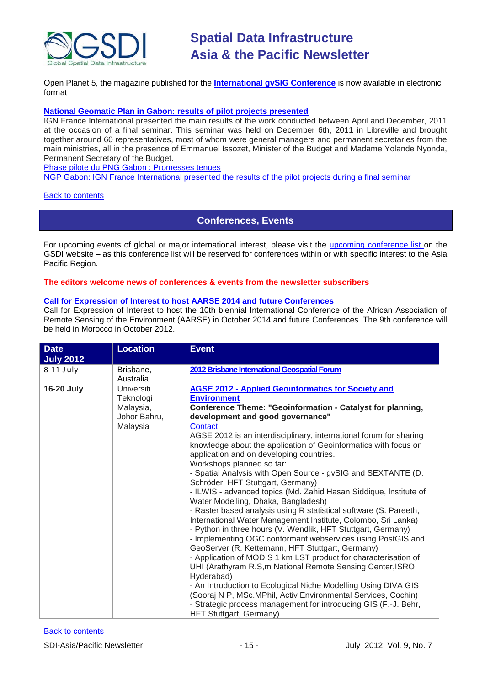

[Open Planet 5, the magazine published for the](http://jornadas.gvsig.org/descargas/magazine) **International gvSIG Conference** is now available in electronic [format](http://jornadas.gvsig.org/descargas/magazine)

### **[National Geomatic Plan in Gabon: results of pilot projects presented](http://www.ignfi.fr/en/content/pilot-phase-ngp-gabon-expectations-were-met)**

IGN France International presented the main results of the work conducted between April and December, 2011 at the occasion of a final seminar. This seminar was held on December 6th, 2011 in Libreville and brought together around 60 representatives, most of whom were general managers and permanent secretaries from the main ministries, all in the presence of Emmanuel Issozet, Minister of the Budget and Madame Yolande Nyonda, Permanent Secretary of the Budget.

[Phase pilote du PNG Gabon : Promesses tenues](http://www.ignfi.fr/fr/content/phase-pilote-du-png-gabon-promesses-tenues)

[NGP Gabon: IGN France International presented the results of the pilot projects during a final seminar](http://www.ignfi.fr/en/content/ngp-gabon-ign-france-international-presented-results-pilot-projects-during-final-seminar)

#### <span id="page-14-0"></span>[Back to contents](#page-0-0)

# **Conferences, Events**

For upcoming events of global or major international interest, please visit the [upcoming conference list o](http://gsdi.org/events/upcnf.asp)n the GSDI website – as this conference list will be reserved for conferences within or with specific interest to the Asia Pacific Region.

#### **The editors welcome news of conferences & events from the newsletter subscribers**

### **[Call for Expression of Interest to host AARSE 2014 and](http://lists.gsdi.org/pipermail/sdi-africa/2010-November/001135.html) future Conferences**

Call for Expression of Interest to host the 10th biennial International Conference of the African Association of Remote Sensing of the Environment (AARSE) in October 2014 and future Conferences. The 9th conference will be held in Morocco in October 2012.

| <b>Date</b>      | <b>Location</b>                                                         | <b>Event</b>                                                                                                                                                                                                                                                                                                                                                                                                                                                                                                                                                                                                                                                                                                                                                                                                                                                                                                                                                                                                                                                                                                                                                                                                                                                                                                                            |
|------------------|-------------------------------------------------------------------------|-----------------------------------------------------------------------------------------------------------------------------------------------------------------------------------------------------------------------------------------------------------------------------------------------------------------------------------------------------------------------------------------------------------------------------------------------------------------------------------------------------------------------------------------------------------------------------------------------------------------------------------------------------------------------------------------------------------------------------------------------------------------------------------------------------------------------------------------------------------------------------------------------------------------------------------------------------------------------------------------------------------------------------------------------------------------------------------------------------------------------------------------------------------------------------------------------------------------------------------------------------------------------------------------------------------------------------------------|
| <b>July 2012</b> |                                                                         |                                                                                                                                                                                                                                                                                                                                                                                                                                                                                                                                                                                                                                                                                                                                                                                                                                                                                                                                                                                                                                                                                                                                                                                                                                                                                                                                         |
| $8-11$ July      | Brisbane,<br>Australia                                                  | 2012 Brisbane International Geospatial Forum                                                                                                                                                                                                                                                                                                                                                                                                                                                                                                                                                                                                                                                                                                                                                                                                                                                                                                                                                                                                                                                                                                                                                                                                                                                                                            |
| 16-20 July       | <b>Universiti</b><br>Teknologi<br>Malaysia,<br>Johor Bahru,<br>Malaysia | <b>AGSE 2012 - Applied Geoinformatics for Society and</b><br><b>Environment</b><br>Conference Theme: "Geoinformation - Catalyst for planning,<br>development and good governance"<br>Contact<br>AGSE 2012 is an interdisciplinary, international forum for sharing<br>knowledge about the application of Geoinformatics with focus on<br>application and on developing countries.<br>Workshops planned so far:<br>- Spatial Analysis with Open Source - gvSIG and SEXTANTE (D.<br>Schröder, HFT Stuttgart, Germany)<br>- ILWIS - advanced topics (Md. Zahid Hasan Siddique, Institute of<br>Water Modelling, Dhaka, Bangladesh)<br>- Raster based analysis using R statistical software (S. Pareeth,<br>International Water Management Institute, Colombo, Sri Lanka)<br>- Python in three hours (V. Wendlik, HFT Stuttgart, Germany)<br>- Implementing OGC conformant webservices using PostGIS and<br>GeoServer (R. Kettemann, HFT Stuttgart, Germany)<br>- Application of MODIS 1 km LST product for characterisation of<br>UHI (Arathyram R.S,m National Remote Sensing Center, ISRO<br>Hyderabad)<br>- An Introduction to Ecological Niche Modelling Using DIVA GIS<br>(Sooraj N P, MSc.MPhil, Activ Environmental Services, Cochin)<br>- Strategic process management for introducing GIS (F.-J. Behr,<br>HFT Stuttgart, Germany) |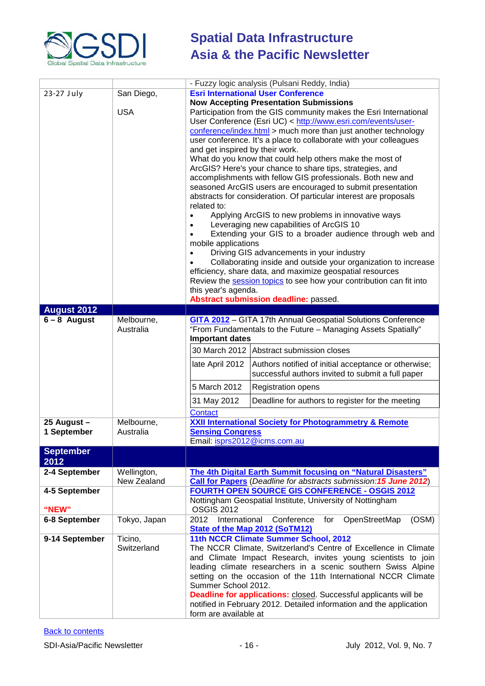

|                    |              | - Fuzzy logic analysis (Pulsani Reddy, India)                                                                 |
|--------------------|--------------|---------------------------------------------------------------------------------------------------------------|
| 23-27 July         | San Diego,   | <b>Esri International User Conference</b>                                                                     |
|                    |              | <b>Now Accepting Presentation Submissions</b>                                                                 |
|                    | <b>USA</b>   | Participation from the GIS community makes the Esri International                                             |
|                    |              | User Conference (Esri UC) < http://www.esri.com/events/user-                                                  |
|                    |              | conference/index.html > much more than just another technology                                                |
|                    |              | user conference. It's a place to collaborate with your colleagues                                             |
|                    |              | and get inspired by their work.                                                                               |
|                    |              | What do you know that could help others make the most of                                                      |
|                    |              | ArcGIS? Here's your chance to share tips, strategies, and                                                     |
|                    |              | accomplishments with fellow GIS professionals. Both new and                                                   |
|                    |              | seasoned ArcGIS users are encouraged to submit presentation                                                   |
|                    |              | abstracts for consideration. Of particular interest are proposals<br>related to:                              |
|                    |              | Applying ArcGIS to new problems in innovative ways                                                            |
|                    |              | Leveraging new capabilities of ArcGIS 10                                                                      |
|                    |              | Extending your GIS to a broader audience through web and<br>$\bullet$                                         |
|                    |              | mobile applications                                                                                           |
|                    |              | Driving GIS advancements in your industry                                                                     |
|                    |              | Collaborating inside and outside your organization to increase                                                |
|                    |              | efficiency, share data, and maximize geospatial resources                                                     |
|                    |              | Review the session topics to see how your contribution can fit into                                           |
|                    |              | this year's agenda.                                                                                           |
|                    |              | Abstract submission deadline: passed.                                                                         |
| <b>August 2012</b> |              |                                                                                                               |
| $6 - 8$ August     | Melbourne,   | <b>GITA 2012</b> - GITA 17th Annual Geospatial Solutions Conference                                           |
|                    | Australia    | "From Fundamentals to the Future - Managing Assets Spatially"                                                 |
|                    |              | <b>Important dates</b>                                                                                        |
|                    |              | 30 March 2012 Abstract submission closes                                                                      |
|                    |              | Authors notified of initial acceptance or otherwise;<br>late April 2012                                       |
|                    |              | successful authors invited to submit a full paper                                                             |
|                    |              | 5 March 2012<br><b>Registration opens</b>                                                                     |
|                    |              | 31 May 2012<br>Deadline for authors to register for the meeting                                               |
|                    |              | Contact                                                                                                       |
| 25 August -        | Melbourne,   | <b>XXII International Society for Photogrammetry &amp; Remote</b>                                             |
| 1 September        | Australia    | <b>Sensing Congress</b>                                                                                       |
|                    |              | Email: isprs2012@icms.com.au                                                                                  |
| <b>September</b>   |              |                                                                                                               |
| 2012               |              |                                                                                                               |
| 2-4 September      | Wellington,  | The 4th Digital Earth Summit focusing on "Natural Disasters"                                                  |
|                    | New Zealand  | Call for Papers (Deadline for abstracts submission: 15 June 2012)                                             |
| 4-5 September      |              | FOURTH OPEN SOURCE GIS CONFERENCE - OSGIS 2012                                                                |
|                    |              | Nottingham Geospatial Institute, University of Nottingham                                                     |
| "NEW"              |              | <b>OSGIS 2012</b>                                                                                             |
| 6-8 September      | Tokyo, Japan | International<br>Conference<br>OpenStreetMap<br>(OSM)<br>2012<br>for<br><b>State of the Map 2012 (SoTM12)</b> |
| 9-14 September     | Ticino,      | 11th NCCR Climate Summer School, 2012                                                                         |
|                    | Switzerland  | The NCCR Climate, Switzerland's Centre of Excellence in Climate                                               |
|                    |              | and Climate Impact Research, invites young scientists to join                                                 |
|                    |              | leading climate researchers in a scenic southern Swiss Alpine                                                 |
|                    |              | setting on the occasion of the 11th International NCCR Climate                                                |
|                    |              | Summer School 2012.                                                                                           |
|                    |              | <b>Deadline for applications:</b> closed. Successful applicants will be                                       |
|                    |              | notified in February 2012. Detailed information and the application                                           |
|                    |              | form are available at                                                                                         |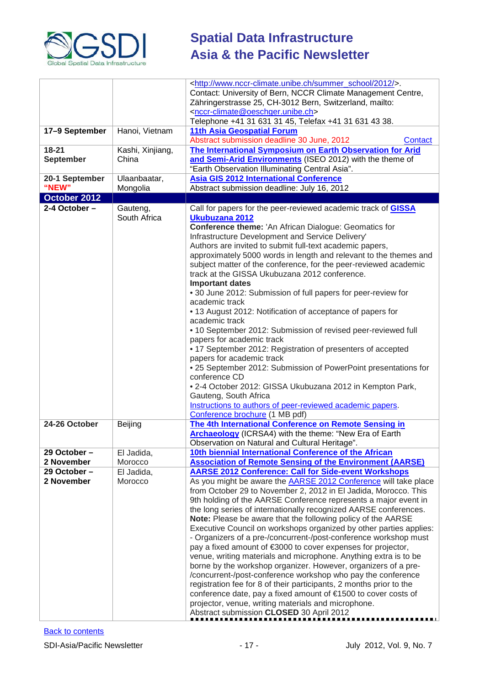

|                  |                  | <http: 2012="" summer_school="" www.nccr-climate.unibe.ch=""></http:> .                                                     |
|------------------|------------------|-----------------------------------------------------------------------------------------------------------------------------|
|                  |                  | Contact: University of Bern, NCCR Climate Management Centre,                                                                |
|                  |                  | Zähringerstrasse 25, CH-3012 Bern, Switzerland, mailto:                                                                     |
|                  |                  | <nccr-climate@oeschger.unibe.ch><br/>Telephone +41 31 631 31 45, Telefax +41 31 631 43 38.</nccr-climate@oeschger.unibe.ch> |
| 17-9 September   | Hanoi, Vietnam   | 11th Asia Geospatial Forum                                                                                                  |
|                  |                  | Abstract submission deadline 30 June, 2012<br>Contact                                                                       |
| $18 - 21$        | Kashi, Xinjiang, | The International Symposium on Earth Observation for Arid                                                                   |
| <b>September</b> | China            | and Semi-Arid Environments (ISEO 2012) with the theme of                                                                    |
|                  |                  | "Earth Observation Illuminating Central Asia".                                                                              |
| 20-1 September   | Ulaanbaatar,     | <b>Asia GIS 2012 International Conference</b>                                                                               |
| "NEW"            | Mongolia         | Abstract submission deadline: July 16, 2012                                                                                 |
| October 2012     |                  |                                                                                                                             |
| 2-4 October-     | Gauteng,         | Call for papers for the peer-reviewed academic track of <b>GISSA</b>                                                        |
|                  | South Africa     | Ukubuzana 2012                                                                                                              |
|                  |                  | Conference theme: 'An African Dialogue: Geomatics for                                                                       |
|                  |                  | Infrastructure Development and Service Delivery'                                                                            |
|                  |                  | Authors are invited to submit full-text academic papers,                                                                    |
|                  |                  | approximately 5000 words in length and relevant to the themes and                                                           |
|                  |                  | subject matter of the conference, for the peer-reviewed academic                                                            |
|                  |                  | track at the GISSA Ukubuzana 2012 conference.                                                                               |
|                  |                  | <b>Important dates</b>                                                                                                      |
|                  |                  | • 30 June 2012: Submission of full papers for peer-review for<br>academic track                                             |
|                  |                  | • 13 August 2012: Notification of acceptance of papers for                                                                  |
|                  |                  | academic track                                                                                                              |
|                  |                  | • 10 September 2012: Submission of revised peer-reviewed full                                                               |
|                  |                  | papers for academic track                                                                                                   |
|                  |                  | • 17 September 2012: Registration of presenters of accepted                                                                 |
|                  |                  | papers for academic track                                                                                                   |
|                  |                  | • 25 September 2012: Submission of PowerPoint presentations for                                                             |
|                  |                  | conference CD                                                                                                               |
|                  |                  | • 2-4 October 2012: GISSA Ukubuzana 2012 in Kempton Park,                                                                   |
|                  |                  | Gauteng, South Africa                                                                                                       |
|                  |                  | Instructions to authors of peer-reviewed academic papers.                                                                   |
|                  |                  | Conference brochure (1 MB pdf)                                                                                              |
| 24-26 October    | Beijing          | The 4th International Conference on Remote Sensing in                                                                       |
|                  |                  | <b>Archaeology</b> (ICRSA4) with the theme: "New Era of Earth<br>Observation on Natural and Cultural Heritage".             |
| 29 October -     | El Jadida,       | 10th biennial International Conference of the African                                                                       |
| 2 November       | Morocco          | <b>Association of Remote Sensing of the Environment (AARSE)</b>                                                             |
| 29 October -     | El Jadida,       | <b>AARSE 2012 Conference: Call for Side-event Workshops</b>                                                                 |
| 2 November       | Morocco          | As you might be aware the <b>AARSE 2012 Conference</b> will take place                                                      |
|                  |                  | from October 29 to November 2, 2012 in El Jadida, Morocco. This                                                             |
|                  |                  | 9th holding of the AARSE Conference represents a major event in                                                             |
|                  |                  | the long series of internationally recognized AARSE conferences.                                                            |
|                  |                  | Note: Please be aware that the following policy of the AARSE                                                                |
|                  |                  | Executive Council on workshops organized by other parties applies:                                                          |
|                  |                  | - Organizers of a pre-/concurrent-/post-conference workshop must                                                            |
|                  |                  | pay a fixed amount of €3000 to cover expenses for projector,                                                                |
|                  |                  | venue, writing materials and microphone. Anything extra is to be                                                            |
|                  |                  | borne by the workshop organizer. However, organizers of a pre-                                                              |
|                  |                  | /concurrent-/post-conference workshop who pay the conference                                                                |
|                  |                  | registration fee for 8 of their participants, 2 months prior to the                                                         |
|                  |                  | conference date, pay a fixed amount of €1500 to cover costs of                                                              |
|                  |                  | projector, venue, writing materials and microphone.                                                                         |
|                  |                  | Abstract submission CLOSED 30 April 2012                                                                                    |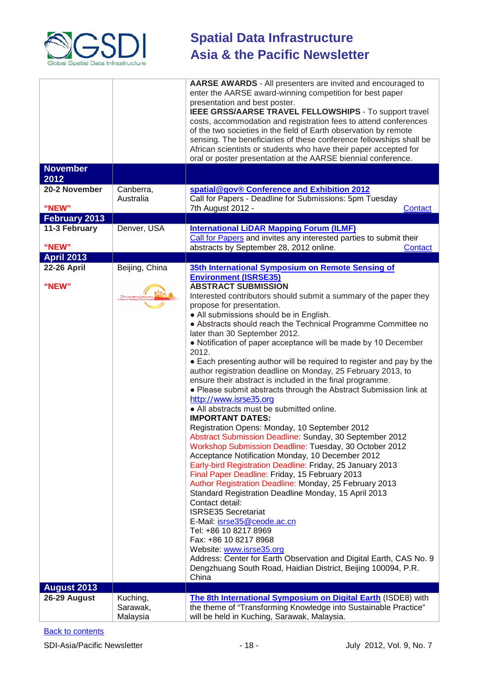

|                                |                                  | AARSE AWARDS - All presenters are invited and encouraged to<br>enter the AARSE award-winning competition for best paper<br>presentation and best poster.<br>IEEE GRSS/AARSE TRAVEL FELLOWSHIPS - To support travel                                                                                                                                                                                                                                                                                                                                                                                                                                                                                                                                                                                                                                                                                                                                                                                                                                                                                                                                                                                                                                                                                                                                                                                                                                                                                        |
|--------------------------------|----------------------------------|-----------------------------------------------------------------------------------------------------------------------------------------------------------------------------------------------------------------------------------------------------------------------------------------------------------------------------------------------------------------------------------------------------------------------------------------------------------------------------------------------------------------------------------------------------------------------------------------------------------------------------------------------------------------------------------------------------------------------------------------------------------------------------------------------------------------------------------------------------------------------------------------------------------------------------------------------------------------------------------------------------------------------------------------------------------------------------------------------------------------------------------------------------------------------------------------------------------------------------------------------------------------------------------------------------------------------------------------------------------------------------------------------------------------------------------------------------------------------------------------------------------|
|                                |                                  | costs, accommodation and registration fees to attend conferences<br>of the two societies in the field of Earth observation by remote<br>sensing. The beneficiaries of these conference fellowships shall be<br>African scientists or students who have their paper accepted for<br>oral or poster presentation at the AARSE biennial conference.                                                                                                                                                                                                                                                                                                                                                                                                                                                                                                                                                                                                                                                                                                                                                                                                                                                                                                                                                                                                                                                                                                                                                          |
| <b>November</b><br>2012        |                                  |                                                                                                                                                                                                                                                                                                                                                                                                                                                                                                                                                                                                                                                                                                                                                                                                                                                                                                                                                                                                                                                                                                                                                                                                                                                                                                                                                                                                                                                                                                           |
| 20-2 November<br>"NEW"         | Canberra,<br>Australia           | spatial@gov® Conference and Exhibition 2012<br>Call for Papers - Deadline for Submissions: 5pm Tuesday                                                                                                                                                                                                                                                                                                                                                                                                                                                                                                                                                                                                                                                                                                                                                                                                                                                                                                                                                                                                                                                                                                                                                                                                                                                                                                                                                                                                    |
|                                |                                  | 7th August 2012 -<br>Contact                                                                                                                                                                                                                                                                                                                                                                                                                                                                                                                                                                                                                                                                                                                                                                                                                                                                                                                                                                                                                                                                                                                                                                                                                                                                                                                                                                                                                                                                              |
| February 2013<br>11-3 February |                                  |                                                                                                                                                                                                                                                                                                                                                                                                                                                                                                                                                                                                                                                                                                                                                                                                                                                                                                                                                                                                                                                                                                                                                                                                                                                                                                                                                                                                                                                                                                           |
| "NEW"                          | Denver, USA                      | <b>International LiDAR Mapping Forum (ILMF)</b><br>Call for Papers and invites any interested parties to submit their<br>abstracts by September 28, 2012 online.<br>Contact                                                                                                                                                                                                                                                                                                                                                                                                                                                                                                                                                                                                                                                                                                                                                                                                                                                                                                                                                                                                                                                                                                                                                                                                                                                                                                                               |
| <b>April 2013</b>              |                                  |                                                                                                                                                                                                                                                                                                                                                                                                                                                                                                                                                                                                                                                                                                                                                                                                                                                                                                                                                                                                                                                                                                                                                                                                                                                                                                                                                                                                                                                                                                           |
| <b>22-26 April</b>             | Beijing, China                   | 35th International Symposium on Remote Sensing of<br><b>Environment (ISRSE35)</b>                                                                                                                                                                                                                                                                                                                                                                                                                                                                                                                                                                                                                                                                                                                                                                                                                                                                                                                                                                                                                                                                                                                                                                                                                                                                                                                                                                                                                         |
| "NEW"                          | 35th Internat                    | <b>ABSTRACT SUBMISSION</b><br>Interested contributors should submit a summary of the paper they<br>propose for presentation.<br>• All submissions should be in English.<br>• Abstracts should reach the Technical Programme Committee no<br>later than 30 September 2012.<br>• Notification of paper acceptance will be made by 10 December<br>2012.<br>• Each presenting author will be required to register and pay by the<br>author registration deadline on Monday, 25 February 2013, to<br>ensure their abstract is included in the final programme.<br>. Please submit abstracts through the Abstract Submission link at<br>http://www.isrse35.org<br>• All abstracts must be submitted online.<br><b>IMPORTANT DATES:</b><br>Registration Opens: Monday, 10 September 2012<br>Abstract Submission Deadline: Sunday, 30 September 2012<br>Workshop Submission Deadline: Tuesday, 30 October 2012<br>Acceptance Notification Monday, 10 December 2012<br>Early-bird Registration Deadline: Friday, 25 January 2013<br>Final Paper Deadline: Friday, 15 February 2013<br>Author Registration Deadline: Monday, 25 February 2013<br>Standard Registration Deadline Monday, 15 April 2013<br>Contact detail:<br><b>ISRSE35 Secretariat</b><br>E-Mail: isrse35@ceode.ac.cn<br>Tel: +86 10 8217 8969<br>Fax: +86 10 8217 8968<br>Website: www.isrse35.org<br>Address: Center for Earth Observation and Digital Earth, CAS No. 9<br>Dengzhuang South Road, Haidian District, Beijing 100094, P.R.<br>China |
| <b>August 2013</b>             |                                  |                                                                                                                                                                                                                                                                                                                                                                                                                                                                                                                                                                                                                                                                                                                                                                                                                                                                                                                                                                                                                                                                                                                                                                                                                                                                                                                                                                                                                                                                                                           |
| 26-29 August                   | Kuching,<br>Sarawak,<br>Malaysia | The 8th International Symposium on Digital Earth (ISDE8) with<br>the theme of "Transforming Knowledge into Sustainable Practice"<br>will be held in Kuching, Sarawak, Malaysia.                                                                                                                                                                                                                                                                                                                                                                                                                                                                                                                                                                                                                                                                                                                                                                                                                                                                                                                                                                                                                                                                                                                                                                                                                                                                                                                           |